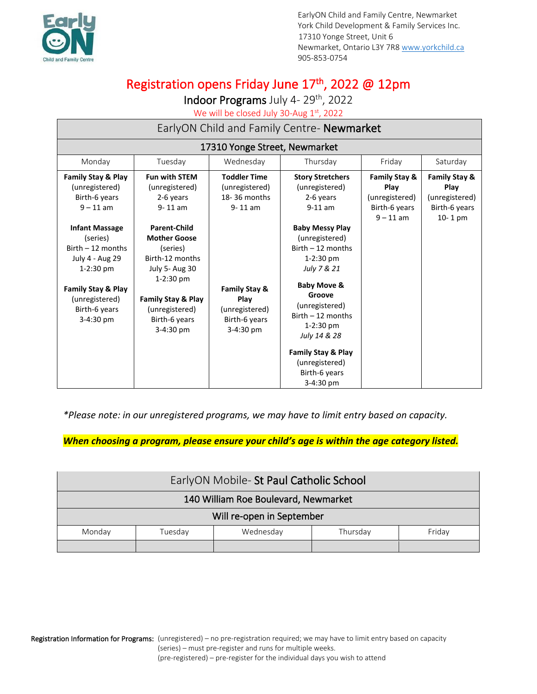

EarlyON Child and Family Centre, Newmarket York Child Development & Family Services Inc. 17310 Yonge Street, Unit 6 Newmarket, Ontario L3Y 7R8 [www.yorkchild.ca](http://www.yorkchild.ca/) 905-853-0754

# Registration opens Friday June 17<sup>th</sup>, 2022 @ 12pm

Indoor Programs July 4-29<sup>th</sup>, 2022

We will be closed July 30-Aug 1st, 2022

| EarlyON Child and Family Centre- Newmarket                                                                                                                                                                                                                       |                                                                                                                                                                                                                                                                          |                                                                                                                                               |                                                                                                                                                                                                                                                                                                                                                                 |                                                                                    |                                                                                |
|------------------------------------------------------------------------------------------------------------------------------------------------------------------------------------------------------------------------------------------------------------------|--------------------------------------------------------------------------------------------------------------------------------------------------------------------------------------------------------------------------------------------------------------------------|-----------------------------------------------------------------------------------------------------------------------------------------------|-----------------------------------------------------------------------------------------------------------------------------------------------------------------------------------------------------------------------------------------------------------------------------------------------------------------------------------------------------------------|------------------------------------------------------------------------------------|--------------------------------------------------------------------------------|
| 17310 Yonge Street, Newmarket                                                                                                                                                                                                                                    |                                                                                                                                                                                                                                                                          |                                                                                                                                               |                                                                                                                                                                                                                                                                                                                                                                 |                                                                                    |                                                                                |
| Monday                                                                                                                                                                                                                                                           | Tuesday                                                                                                                                                                                                                                                                  | Wednesday                                                                                                                                     | Thursday                                                                                                                                                                                                                                                                                                                                                        | Friday                                                                             | Saturday                                                                       |
| <b>Family Stay &amp; Play</b><br>(unregistered)<br>Birth-6 years<br>$9 - 11$ am<br><b>Infant Massage</b><br>(series)<br>$Birth - 12 months$<br>July 4 - Aug 29<br>$1-2:30$ pm<br><b>Family Stay &amp; Play</b><br>(unregistered)<br>Birth-6 years<br>$3-4:30$ pm | <b>Fun with STEM</b><br>(unregistered)<br>2-6 years<br>$9 - 11$ am<br><b>Parent-Child</b><br><b>Mother Goose</b><br>(series)<br>Birth-12 months<br><b>July 5- Aug 30</b><br>$1-2:30$ pm<br><b>Family Stay &amp; Play</b><br>(unregistered)<br>Birth-6 years<br>3-4:30 pm | <b>Toddler Time</b><br>(unregistered)<br>18-36 months<br>$9 - 11$ am<br>Family Stay &<br>Play<br>(unregistered)<br>Birth-6 years<br>3-4:30 pm | <b>Story Stretchers</b><br>(unregistered)<br>2-6 years<br>$9-11$ am<br><b>Baby Messy Play</b><br>(unregistered)<br>$Birth - 12$ months<br>1-2:30 pm<br>July 7 & 21<br><b>Baby Move &amp;</b><br>Groove<br>(unregistered)<br>$Birth - 12 months$<br>1-2:30 pm<br>July 14 & 28<br><b>Family Stay &amp; Play</b><br>(unregistered)<br>Birth-6 years<br>$3-4:30$ pm | <b>Family Stay &amp;</b><br>Play<br>(unregistered)<br>Birth-6 years<br>$9 - 11$ am | <b>Family Stay &amp;</b><br>Play<br>(unregistered)<br>Birth-6 years<br>10-1 pm |

*\*Please note: in our unregistered programs, we may have to limit entry based on capacity.*

*When choosing a program, please ensure your child's age is within the age category listed.*

| EarlyON Mobile- St Paul Catholic School |         |           |          |        |  |
|-----------------------------------------|---------|-----------|----------|--------|--|
| 140 William Roe Boulevard, Newmarket    |         |           |          |        |  |
| Will re-open in September               |         |           |          |        |  |
| Monday                                  | Tuesdav | Wednesdav | Thursdav | Fridav |  |
|                                         |         |           |          |        |  |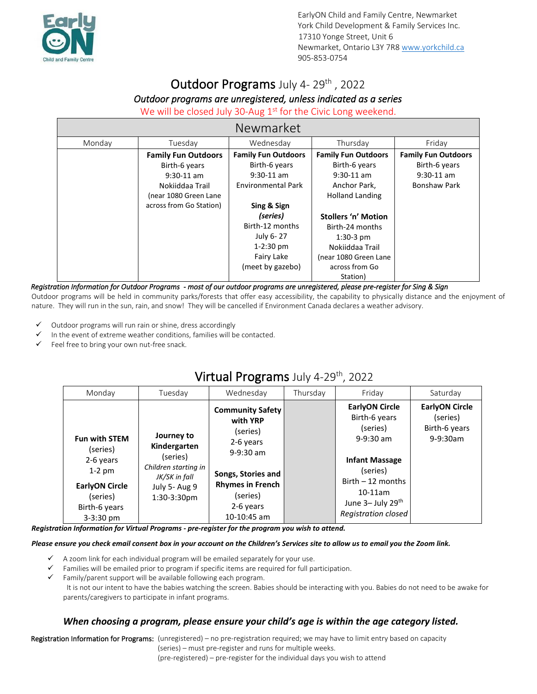

# Outdoor Programs July 4-29th, 2022

## *Outdoor programs are unregistered, unless indicated as a series*

### We will be closed July 30-Aug  $1<sup>st</sup>$  for the Civic Long weekend.

| Newmarket |                               |                               |                               |                               |  |  |
|-----------|-------------------------------|-------------------------------|-------------------------------|-------------------------------|--|--|
| Monday    | Tuesday                       | Wednesday                     | Thursday                      | Friday                        |  |  |
|           | <b>Family Fun Outdoors</b>    | <b>Family Fun Outdoors</b>    | <b>Family Fun Outdoors</b>    | <b>Family Fun Outdoors</b>    |  |  |
|           | Birth-6 years<br>$9:30-11$ am | Birth-6 years<br>$9:30-11$ am | Birth-6 years<br>$9:30-11$ am | Birth-6 years<br>$9:30-11$ am |  |  |
|           | Nokiiddaa Trail               | <b>Environmental Park</b>     | Anchor Park,                  | <b>Bonshaw Park</b>           |  |  |
|           | (near 1080 Green Lane         |                               | <b>Holland Landing</b>        |                               |  |  |
|           | across from Go Station)       | Sing & Sign                   |                               |                               |  |  |
|           |                               | (series)                      | <b>Stollers 'n' Motion</b>    |                               |  |  |
|           |                               | Birth-12 months               | Birth-24 months               |                               |  |  |
|           |                               | July 6-27                     | $1:30-3$ pm                   |                               |  |  |
|           |                               | $1-2:30$ pm                   | Nokiiddaa Trail               |                               |  |  |
|           |                               | Fairy Lake                    | (near 1080 Green Lane         |                               |  |  |
|           |                               | (meet by gazebo)              | across from Go                |                               |  |  |
|           |                               |                               | Station)                      |                               |  |  |

#### *Registration Information for Outdoor Programs - most of our outdoor programs are unregistered, please pre-register for Sing & Sign*

Outdoor programs will be held in community parks/forests that offer easy accessibility, the capability to physically distance and the enjoyment of nature. They will run in the sun, rain, and snow! They will be cancelled if Environment Canada declares a weather advisory.

- Outdoor programs will run rain or shine, dress accordingly
- In the event of extreme weather conditions, families will be contacted.
- $\checkmark$  Feel free to bring your own nut-free snack.

# Virtual Programs July 4-29th, 2022

| Monday                                                                                                                           | Tuesday                                                                                                         | Wednesday                                                                                                                                                              | Thursday | Friday                                                                                                                                                                                 | Saturday                                                            |
|----------------------------------------------------------------------------------------------------------------------------------|-----------------------------------------------------------------------------------------------------------------|------------------------------------------------------------------------------------------------------------------------------------------------------------------------|----------|----------------------------------------------------------------------------------------------------------------------------------------------------------------------------------------|---------------------------------------------------------------------|
| <b>Fun with STEM</b><br>(series)<br>2-6 years<br>$1-2$ pm<br><b>EarlyON Circle</b><br>(series)<br>Birth-6 years<br>$3 - 3:30$ pm | Journey to<br>Kindergarten<br>(series)<br>Children starting in<br>JK/SK in fall<br>July 5- Aug 9<br>1:30-3:30pm | <b>Community Safety</b><br>with YRP<br>(series)<br>2-6 years<br>$9-9:30$ am<br>Songs, Stories and<br><b>Rhymes in French</b><br>(series)<br>2-6 years<br>$10-10:45$ am |          | <b>EarlyON Circle</b><br>Birth-6 years<br>(series)<br>$9-9:30$ am<br><b>Infant Massage</b><br>(series)<br>Birth $-12$ months<br>$10-11$ am<br>June 3- July 29th<br>Registration closed | <b>EarlyON Circle</b><br>(series)<br>Birth-6 years<br>$9 - 9:30$ am |

*Registration Information for Virtual Programs - pre-register for the program you wish to attend.*

#### *Please ensure you check email consent box in your account on the Children's Services site to allow us to email you the Zoom link.*

- A zoom link for each individual program will be emailed separately for your use.
- Families will be emailed prior to program if specific items are required for full participation.
- Family/parent support will be available following each program.

It is not our intent to have the babies watching the screen. Babies should be interacting with you. Babies do not need to be awake for parents/caregivers to participate in infant programs.

### *When choosing a program, please ensure your child's age is within the age category listed.*

Registration Information for Programs: (unregistered) – no pre-registration required; we may have to limit entry based on capacity (series) – must pre-register and runs for multiple weeks. (pre-registered) – pre-register for the individual days you wish to attend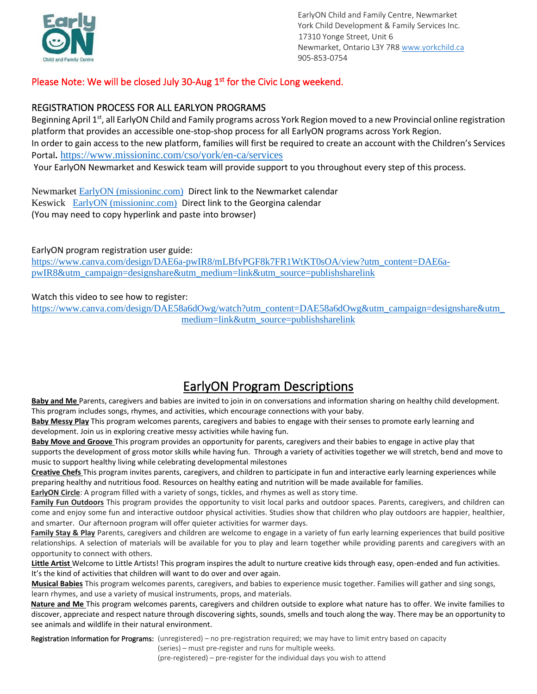

EarlyON Child and Family Centre, Newmarket York Child Development & Family Services Inc. 17310 Yonge Street, Unit 6 Newmarket, Ontario L3Y 7R8 [www.yorkchild.ca](http://www.yorkchild.ca/) 905-853-0754

## Please Note: We will be closed July 30-Aug  $1<sup>st</sup>$  for the Civic Long weekend.

### REGISTRATION PROCESS FOR ALL EARLYON PROGRAMS

Beginning April 1<sup>st</sup>, all EarlyON Child and Family programs across York Region moved to a new Provincial online registration platform that provides an accessible one-stop-shop process for all EarlyON programs across York Region. In order to gain access to the new platform, families will first be required to create an account with the Children's Services Portal**.** <https://www.missioninc.com/cso/york/en-ca/services> Your EarlyON Newmarket and Keswick team will provide support to you throughout every step of this process.

Newmarket [EarlyON \(missioninc.com\)](https://can01.safelinks.protection.outlook.com/?url=https%3A%2F%2Fwww.missioninc.com%2Fcso%2Fyork%2Fen-ca%2Fearlyon%2Fcalendar%3Fho_id_num%3D162&data=04%7C01%7Clchapman%40yorkchild.ca%7Ca03b1eb90421461f775908da135256ac%7C4b36106cea324aba99c1f8ef65aa3af8%7C0%7C0%7C637843541608558345%7CUnknown%7CTWFpbGZsb3d8eyJWIjoiMC4wLjAwMDAiLCJQIjoiV2luMzIiLCJBTiI6Ik1haWwiLCJXVCI6Mn0%3D%7C3000&sdata=jOdYcZJGOlT7ci3Ra8JielrqbzjjrsUEHxMxhb5i5s0%3D&reserved=0) Direct link to the Newmarket calendar Keswick [EarlyON \(missioninc.com\)](https://can01.safelinks.protection.outlook.com/?url=https%3A%2F%2Fwww.missioninc.com%2Fcso%2Fyork%2Fen-ca%2Fearlyon%2Fcalendar%3Fho_id_num%3D477&data=04%7C01%7Clchapman%40yorkchild.ca%7Ca03b1eb90421461f775908da135256ac%7C4b36106cea324aba99c1f8ef65aa3af8%7C0%7C0%7C637843541608558345%7CUnknown%7CTWFpbGZsb3d8eyJWIjoiMC4wLjAwMDAiLCJQIjoiV2luMzIiLCJBTiI6Ik1haWwiLCJXVCI6Mn0%3D%7C3000&sdata=Hfp2C%2BCKLcsKFUAH3CijWEryaSDPFaMuJIDuBwQcQC8%3D&reserved=0) Direct link to the Georgina calendar (You may need to copy hyperlink and paste into browser)

#### EarlyON program registration user guide:

[https://www.canva.com/design/DAE6a-pwIR8/mLBfvPGF8k7FR1WtKT0sOA/view?utm\\_content=DAE6a](https://can01.safelinks.protection.outlook.com/?url=https%3A%2F%2Fwww.canva.com%2Fdesign%2FDAE6a-pwIR8%2FmLBfvPGF8k7FR1WtKT0sOA%2Fview%3Futm_content%3DDAE6a-pwIR8%26utm_campaign%3Ddesignshare%26utm_medium%3Dlink%26utm_source%3Dpublishsharelink&data=04%7C01%7Clchapman%40yorkchild.ca%7Cc2e0b60f63ad43b9aa6508da0cfbf864%7C4b36106cea324aba99c1f8ef65aa3af8%7C0%7C0%7C637836573786361761%7CUnknown%7CTWFpbGZsb3d8eyJWIjoiMC4wLjAwMDAiLCJQIjoiV2luMzIiLCJBTiI6Ik1haWwiLCJXVCI6Mn0%3D%7C3000&sdata=N661V87aIvEre5Ftuy4sUllwQezcT2oppMeQc%2Fo6244%3D&reserved=0)[pwIR8&utm\\_campaign=designshare&utm\\_medium=link&utm\\_source=publishsharelink](https://can01.safelinks.protection.outlook.com/?url=https%3A%2F%2Fwww.canva.com%2Fdesign%2FDAE6a-pwIR8%2FmLBfvPGF8k7FR1WtKT0sOA%2Fview%3Futm_content%3DDAE6a-pwIR8%26utm_campaign%3Ddesignshare%26utm_medium%3Dlink%26utm_source%3Dpublishsharelink&data=04%7C01%7Clchapman%40yorkchild.ca%7Cc2e0b60f63ad43b9aa6508da0cfbf864%7C4b36106cea324aba99c1f8ef65aa3af8%7C0%7C0%7C637836573786361761%7CUnknown%7CTWFpbGZsb3d8eyJWIjoiMC4wLjAwMDAiLCJQIjoiV2luMzIiLCJBTiI6Ik1haWwiLCJXVCI6Mn0%3D%7C3000&sdata=N661V87aIvEre5Ftuy4sUllwQezcT2oppMeQc%2Fo6244%3D&reserved=0)

#### Watch this video to see how to register:

[https://www.canva.com/design/DAE58a6dOwg/watch?utm\\_content=DAE58a6dOwg&utm\\_campaign=designshare&utm\\_](https://can01.safelinks.protection.outlook.com/?url=https%3A%2F%2Fwww.canva.com%2Fdesign%2FDAE58a6dOwg%2Fwatch%3Futm_content%3DDAE58a6dOwg%26utm_campaign%3Ddesignshare%26utm_medium%3Dlink%26utm_source%3Dpublishsharelink&data=04%7C01%7Clchapman%40yorkchild.ca%7Cc2e0b60f63ad43b9aa6508da0cfbf864%7C4b36106cea324aba99c1f8ef65aa3af8%7C0%7C0%7C637836573786361761%7CUnknown%7CTWFpbGZsb3d8eyJWIjoiMC4wLjAwMDAiLCJQIjoiV2luMzIiLCJBTiI6Ik1haWwiLCJXVCI6Mn0%3D%7C3000&sdata=E92uEvrFe7FAzongvZO1vC03VGMg3OY2yfTZXyKSGMI%3D&reserved=0) [medium=link&utm\\_source=publishsharelink](https://can01.safelinks.protection.outlook.com/?url=https%3A%2F%2Fwww.canva.com%2Fdesign%2FDAE58a6dOwg%2Fwatch%3Futm_content%3DDAE58a6dOwg%26utm_campaign%3Ddesignshare%26utm_medium%3Dlink%26utm_source%3Dpublishsharelink&data=04%7C01%7Clchapman%40yorkchild.ca%7Cc2e0b60f63ad43b9aa6508da0cfbf864%7C4b36106cea324aba99c1f8ef65aa3af8%7C0%7C0%7C637836573786361761%7CUnknown%7CTWFpbGZsb3d8eyJWIjoiMC4wLjAwMDAiLCJQIjoiV2luMzIiLCJBTiI6Ik1haWwiLCJXVCI6Mn0%3D%7C3000&sdata=E92uEvrFe7FAzongvZO1vC03VGMg3OY2yfTZXyKSGMI%3D&reserved=0)

## EarlyON Program Descriptions

**Baby and Me** Parents, caregivers and babies are invited to join in on conversations and information sharing on healthy child development. This program includes songs, rhymes, and activities, which encourage connections with your baby.

**Baby Messy Play** This program welcomes parents, caregivers and babies to engage with their senses to promote early learning and development. Join us in exploring creative messy activities while having fun.

**Baby Move and Groove** This program provides an opportunity for parents, caregivers and their babies to engage in active play that supports the development of gross motor skills while having fun. Through a variety of activities together we will stretch, bend and move to music to support healthy living while celebrating developmental milestones

**Creative Chefs** This program invites parents, caregivers, and children to participate in fun and interactive early learning experiences while preparing healthy and nutritious food. Resources on healthy eating and nutrition will be made available for families.

**EarlyON Circle**: A program filled with a variety of songs, tickles, and rhymes as well as story time.

**Family Fun Outdoors** This program provides the opportunity to visit local parks and outdoor spaces. Parents, caregivers, and children can come and enjoy some fun and interactive outdoor physical activities. Studies show that children who play outdoors are happier, healthier, and smarter. Our afternoon program will offer quieter activities for warmer days.

Family Stay & Play Parents, caregivers and children are welcome to engage in a variety of fun early learning experiences that build positive relationships. A selection of materials will be available for you to play and learn together while providing parents and caregivers with an opportunity to connect with others.

**Little Artist** Welcome to Little Artists! This program inspires the adult to nurture creative kids through easy, open-ended and fun activities. It's the kind of activities that children will want to do over and over again.

**Musical Babies** This program welcomes parents, caregivers, and babies to experience music together. Families will gather and sing songs, learn rhymes, and use a variety of musical instruments, props, and materials.

**Nature and Me** This program welcomes parents, caregivers and children outside to explore what nature has to offer. We invite families to discover, appreciate and respect nature through discovering sights, sounds, smells and touch along the way. There may be an opportunity to see animals and wildlife in their natural environment.

Registration Information for Programs: (unregistered) – no pre-registration required; we may have to limit entry based on capacity (series) – must pre-register and runs for multiple weeks. (pre-registered) – pre-register for the individual days you wish to attend